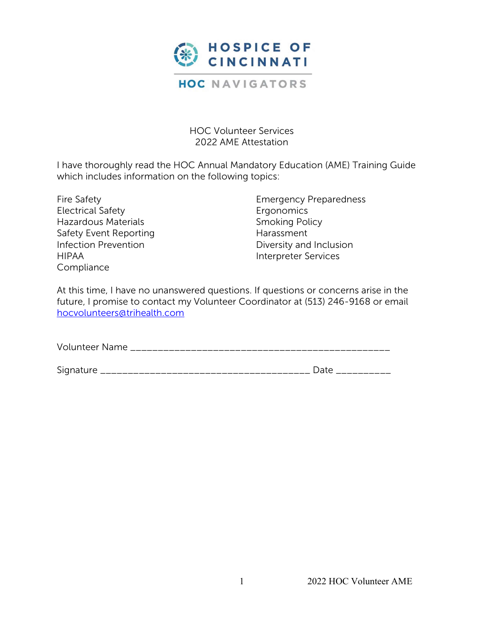

HOC Volunteer Services 2022 AME Attestation

I have thoroughly read the HOC Annual Mandatory Education (AME) Training Guide which includes information on the following topics:

Fire Safety Electrical Safety Hazardous Materials Safety Event Reporting Infection Prevention HIPAA Compliance

Emergency Preparedness **Ergonomics** Smoking Policy Harassment Diversity and Inclusion Interpreter Services

At this time, I have no unanswered questions. If questions or concerns arise in the future, I promise to contact my Volunteer Coordinator at (513) 246-9168 or email hocvolunteers@trihealth.com

| <b>Volunteer Name</b> |
|-----------------------|
|-----------------------|

| $\sim$     |                                             |
|------------|---------------------------------------------|
|            |                                             |
| ◡<br>_____ | ________________________________<br>_______ |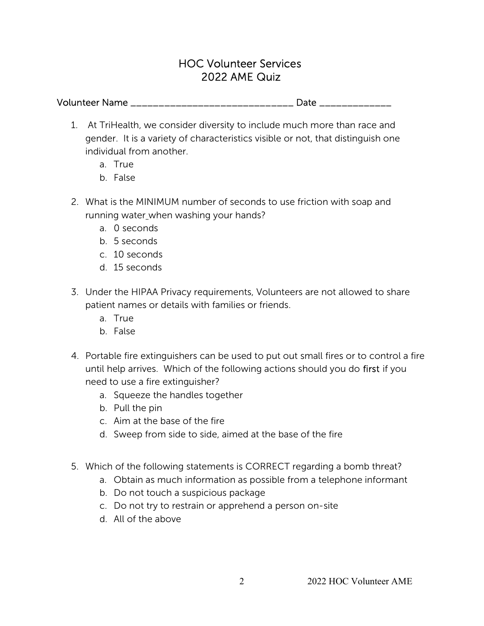## HOC Volunteer Services 2022 AME Quiz

## Volunteer Name \_\_\_\_\_\_\_\_\_\_\_\_\_\_\_\_\_\_\_\_\_\_\_\_\_\_\_\_\_ Date \_\_\_\_\_\_\_\_\_\_\_\_\_

- 1. At TriHealth, we consider diversity to include much more than race and gender. It is a variety of characteristics visible or not, that distinguish one individual from another.
	- a. True
	- b. False
- 2. What is the MINIMUM number of seconds to use friction with soap and running water\_when washing your hands?
	- a. 0 seconds
	- b. 5 seconds
	- c. 10 seconds
	- d. 15 seconds
- 3. Under the HIPAA Privacy requirements, Volunteers are not allowed to share patient names or details with families or friends.
	- a. True
	- b. False
- 4. Portable fire extinguishers can be used to put out small fires or to control a fire until help arrives. Which of the following actions should you do first if you need to use a fire extinguisher?
	- a. Squeeze the handles together
	- b. Pull the pin
	- c. Aim at the base of the fire
	- d. Sweep from side to side, aimed at the base of the fire
- 5. Which of the following statements is CORRECT regarding a bomb threat?
	- a. Obtain as much information as possible from a telephone informant
	- b. Do not touch a suspicious package
	- c. Do not try to restrain or apprehend a person on-site
	- d. All of the above